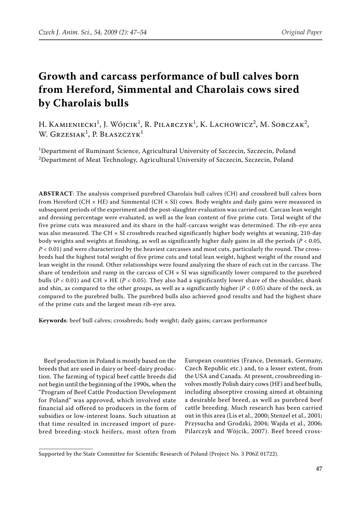# **Growth and carcass performance of bull calves born from Hereford, Simmental and Charolais cows sired by Charolais bulls**

H. Kamieniecki<sup>1</sup>, J. Wójcik<sup>1</sup>, R. Pilarczyk<sup>1</sup>, K. Lachowicz<sup>2</sup>, M. Sobczak<sup>2</sup>, W. Grzesiak<sup>1</sup>, P. Błaszczyk<sup>1</sup>

<sup>1</sup>Department of Ruminant Science, Agricultural University of Szczecin, Szczecin, Poland  $^{\rm 2}$ Department of Meat Technology, Agricultural University of Szczecin, Szczecin, Poland

**ABSTRACT**: The analysis comprised purebred Charolais bull calves (CH) and crossbred bull calves born from Hereford (CH  $\times$  HE) and Simmental (CH  $\times$  SI) cows. Body weights and daily gains were measured in subsequent periods of the experiment and the post-slaughter evaluation was carried out. Carcass lean weight and dressing percentage were evaluated, as well as the lean content of five prime cuts. Total weight of the five prime cuts was measured and its share in the half-carcass weight was determined. The rib-eye area was also measured. The CH × SI crossbreds reached significantly higher body weights at weaning, 210-day body weights and weights at finishing, as well as significantly higher daily gains in all the periods (*P* < 0.05,  $P < 0.01$ ) and were characterized by the heaviest carcasses and most cuts, particularly the round. The crossbreds had the highest total weight of five prime cuts and total lean weight, highest weight of the round and lean weight in the round. Other relationships were found analyzing the share of each cut in the carcass. The share of tenderloin and rump in the carcass of  $CH \times SI$  was significantly lower compared to the purebred bulls ( $P < 0.01$ ) and CH  $\times$  HE ( $P < 0.05$ ). They also had a significantly lower share of the shoulder, shank and shin, as compared to the other groups, as well as a significantly higher  $(P < 0.05)$  share of the neck, as compared to the purebred bulls. The purebred bulls also achieved good results and had the highest share of the prime cuts and the largest mean rib-eye area.

**Keywords**: beef bull calves; crossbreds; body weight; daily gains; carcass performance

Beef production in Poland is mostly based on the breeds that are used in dairy or beef-dairy production. The farming of typical beef cattle breeds did not begin until the beginning of the 1990s, when the "Program of Beef Cattle Production Development for Poland" was approved, which involved state financial aid offered to producers in the form of subsidies or low-interest loans. Such situation at that time resulted in increased import of purebred breeding-stock heifers, most often from

European countries (France, Denmark, Germany, Czech Republic etc.) and, to a lesser extent, from the USA and Canada. At present, crossbreeding involves mostly Polish dairy cows (HF) and beef bulls, including absorptive crossing aimed at obtaining a desirable beef breed, as well as purebred beef cattle breeding. Much research has been carried out in this area (Lis et al., 2000; Stenzel et al., 2001; Przysucha and Grodzki, 2004; Wajda et al., 2006; Pilarczyk and Wójcik, 2007). Beef breed cross-

Supported by the State Committee for Scientific Research of Poland (Project No. 3 P06Z 01722).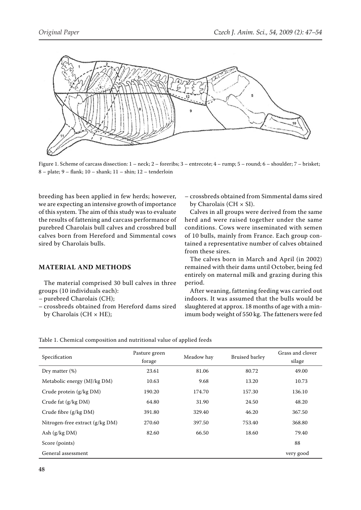

Figure 1. Scheme of carcass dissection: 1 – neck; 2 – foreribs; 3 – entrecote; 4 – rump; 5 – round; 6 – shoulder; 7 – brisket; 8 – plate; 9 – flank; 10 – shank; 11 – shin; 12 – tenderloin

breeding has been applied in few herds; however, we are expecting an intensive growth of importance of this system. The aim of this study was to evaluate the results of fattening and carcass performance of purebred Charolais bull calves and crossbred bull calves born from Hereford and Simmental cows sired by Charolais bulls.

### **MATERIAL AND METHODS**

The material comprised 30 bull calves in three groups (10 individuals each):

- purebred Charolais (CH);
- crossbreds obtained from Hereford dams sired by Charolais (CH  $\times$  HE);

– crossbreds obtained from Simmental dams sired by Charolais (CH  $\times$  SI).

Calves in all groups were derived from the same herd and were raised together under the same conditions. Cows were inseminated with semen of 10 bulls, mainly from France. Each group contained a representative number of calves obtained from these sires.

The calves born in March and April (in 2002) remained with their dams until October, being fed entirely on maternal milk and grazing during this period.

After weaning, fattening feeding was carried out indoors. It was assumed that the bulls would be slaughtered at approx. 18 months of age with a minimum body weight of 550 kg. The fatteners were fed

|  | Table 1. Chemical composition and nutritional value of applied feeds |
|--|----------------------------------------------------------------------|
|--|----------------------------------------------------------------------|

| Specification                     | Pasture green<br>forage | Meadow hay | <b>Bruised barley</b> | Grass and clover<br>silage |
|-----------------------------------|-------------------------|------------|-----------------------|----------------------------|
| Dry matter $(\%)$                 | 23.61                   | 81.06      | 80.72                 | 49.00                      |
| Metabolic energy (MJ/kg DM)       | 10.63                   | 9.68       | 13.20                 | 10.73                      |
| Crude protein $(g/kg DM)$         | 190.20                  | 174.70     | 157.30                | 136.10                     |
| Crude fat (g/kg DM)               | 64.80                   | 31.90      | 24.50                 | 48.20                      |
| Crude fibre $(g/kg DM)$           | 391.80                  | 329.40     | 46.20                 | 367.50                     |
| Nitrogen-free extract $(g/kg DM)$ | 270.60                  | 397.50     | 753.40                | 368.80                     |
| Ash $(g/kg DM)$                   | 82.60                   | 66.50      | 18.60                 | 79.40                      |
| Score (points)                    |                         |            |                       | 88                         |
| General assessment                |                         |            |                       | very good                  |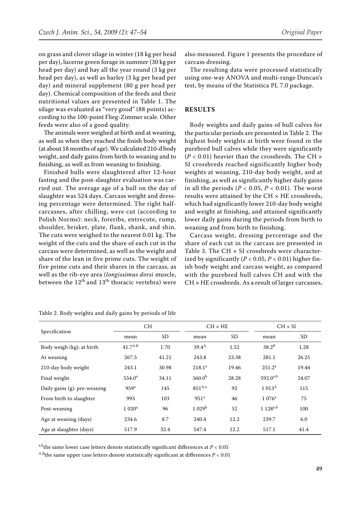on grass and clover silage in winter (18 kg per head per day), lucerne green forage in summer (30 kg per head per day) and hay all the year round (3 kg per head per day), as well as barley (3 kg per head per day) and mineral supplement (80 g per head per day). Chemical composition of the feeds and their nutritional values are presented in Table 1. The silage was evaluated as "very good" (88 points) according to the 100-point Flieg-Zimmer scale. Other feeds were also of a good quality.

The animals were weighed at birth and at weaning, as well as when they reached the finish body weight (at about 18 months of age). We calculated 210-d body weight, and daily gains from birth to weaning and to finishing, as well as from weaning to finishing.

Finished bulls were slaughtered after 12-hour fasting and the post-slaughter evaluation was carried out. The average age of a bull on the day of slaughter was 524 days. Carcass weight and dressing percentage were determined. The right halfcarcasses, after chilling, were cut (according to Polish Norms): neck, foreribs, entrecote, rump, shoulder, brisket, plate, flank, shank, and shin. The cuts were weighed to the nearest 0.01 kg. The weight of the cuts and the share of each cut in the carcass were determined, as well as the weight and share of the lean in five prime cuts. The weight of five prime cuts and their shares in the carcass, as well as the rib-eye area (*longissimus dorsi* muscle, between the  $12<sup>th</sup>$  and  $13<sup>th</sup>$  thoracic vertebra) were

also measured. Figure 1 presents the procedure of carcass dressing.

The resulting data were processed statistically using one-way ANOVA and multi-range Duncan's test, by means of the Statistica PL 7.0 package.

# **RESULTS**

Body weights and daily gains of bull calves for the particular periods are presented in Table 2. The highest body weights at birth were found in the purebred bull calves while they were significantly  $(P < 0.01)$  heavier than the crossbreds. The CH  $\times$ SI crossbreds reached significantly higher body weights at weaning, 210-day body weight, and at finishing, as well as significantly higher daily gains in all the periods ( $P < 0.05$ ,  $P < 0.01$ ). The worst results were attained by the CH × HE crossbreds, which had significantly lower 210-day body weight and weight at finishing, and attained significantly lower daily gains during the periods from birth to weaning and from birth to finishing.

Carcass weight, dressing percentage and the share of each cut in the carcass are presented in Table 3. The CH  $\times$  SI crossbreds were characterized by significantly (*P* < 0.05, *P* < 0.01) higher finish body weight and carcass weight, as compared with the purebred bull calves CH and with the CH × HE crossbreds. As a result of larger carcasses,

|                              | <b>CH</b>        |           | $CH \times HE$     |       | $CH \times SI$     |           |
|------------------------------|------------------|-----------|--------------------|-------|--------------------|-----------|
| Specification                | mean             | <b>SD</b> | mean               | SD    | mean               | <b>SD</b> |
| Body weigh (kg): at birth    | $41.7^{A,B}$     | 1.70      | $39.4^{\rm A}$     | 1.52  | $38.2^B$           | 1.28      |
| At weaning                   | 267.5            | 41.21     | 243.8              | 23.38 | 281.1              | 26.25     |
| 210-day body weight          | 243.1            | 30.98     | 218.1 <sup>a</sup> | 19.46 | 251.2 <sup>a</sup> | 19.44     |
| Final weight                 | $554.0^{\circ}$  | 34.11     | 560.0 <sup>b</sup> | 28.28 | $592.0^{a,b}$      | 24.07     |
| Daily gains (g): pre-weaning | 959 <sup>a</sup> | 145       | $851^{A,a}$        | 92    | 1.013 <sup>A</sup> | 115       |
| From birth to slaughter      | 993              | 103       | 951 <sup>a</sup>   | 46    | $1076^a$           | 75        |
| Post-weaning                 | $1020^a$         | 96        | 1029 <sup>b</sup>  | 52    | $1.128^{a,b}$      | 100       |
| Age at weaning (days)        | 234.6            | 8.7       | 240.4              | 12.2  | 239.7              | 6.0       |
| Age at slaughter (days)      | 517.9            | 32.4      | 547.4              | 12.2  | 517.1              | 41.4      |

Table 2. Body weights and daily gains by periods of life

a,b<sub>the same lower case letters denote statistically significant differences at  $P < 0.05$ </sub>

 $A$ ,B<sub>the</sub> same upper case letters denote statistically significant at differences  $P < 0.01$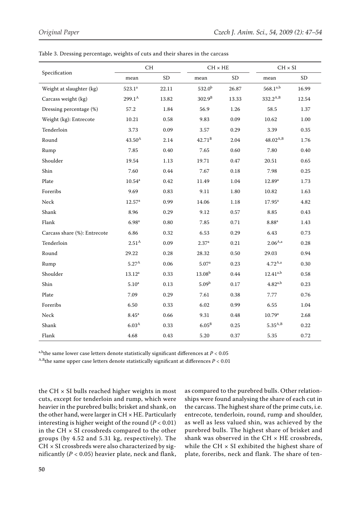|                              | CH                 |           |                   | $CH \times HE$ |                 | $CH \times SI$ |  |
|------------------------------|--------------------|-----------|-------------------|----------------|-----------------|----------------|--|
| Specification                | mean               | <b>SD</b> | $_{\rm mean}$     | ${\rm SD}$     | mean            | ${\rm SD}$     |  |
| Weight at slaughter (kg)     | $523.1^a$          | 22.11     | $532.0^{b}$       | 26.87          | $568.1^{a,b}$   | 16.99          |  |
| Carcass weight (kg)          | $299.1^{\text{A}}$ | 13.82     | $302.9^{B}$       | 13.33          | $332.2^{A,B}$   | 12.54          |  |
| Dressing percentage (%)      | 57.2               | 1.84      | 56.9              | 1.26           | 58.5            | 1.37           |  |
| Weight (kg): Entrecote       | 10.21              | 0.58      | 9.83              | 0.09           | 10.62           | 1.00           |  |
| Tenderloin                   | 3.73               | 0.09      | 3.57              | 0.29           | 3.39            | 0.35           |  |
| Round                        | $43.50^{\rm A}$    | 2.14      | $42.71^{\rm B}$   | 2.04           | $48.02^{A,B}$   | 1.76           |  |
| Rump                         | 7.85               | $0.40\,$  | 7.65              | 0.60           | 7.80            | $0.40\,$       |  |
| Shoulder                     | 19.54              | 1.13      | 19.71             | 0.47           | 20.51           | 0.65           |  |
| Shin                         | 7.60               | 0.44      | 7.67              | $0.18\,$       | 7.98            | 0.25           |  |
| Plate                        | $10.54^{\rm a}$    | 0.42      | 11.49             | 1.04           | $12.89^{a}$     | 1.73           |  |
| Foreribs                     | 9.69               | 0.83      | 9.11              | 1.80           | 10.82           | 1.63           |  |
| Neck                         | 12.57 <sup>a</sup> | 0.99      | 14.06             | $1.18\,$       | $17.95^{\rm a}$ | 4.82           |  |
| Shank                        | 8.96               | 0.29      | 9.12              | 0.57           | 8.85            | 0.43           |  |
| Flank                        | 6.98 <sup>a</sup>  | $0.80\,$  | 7.85              | 0.71           | $8.88^{\rm a}$  | 1.43           |  |
| Carcass share (%): Entrecote | 6.86               | 0.32      | 6.53              | 0.29           | 6.43            | 0.73           |  |
| Tenderloin                   | 2.51 <sup>A</sup>  | 0.09      | 2.37 <sup>a</sup> | 0.21           | $2.06^{A,a}$    | 0.28           |  |
| Round                        | 29.22              | 0.28      | 28.32             | 0.50           | 29.03           | 0.94           |  |
| Rump                         | $5.27^{\rm A}$     | 0.06      | 5.07 <sup>a</sup> | 0.23           | $4.72^{A,a}$    | $0.30\,$       |  |
| Shoulder                     | $13.12^a$          | 0.33      | $13.08^{b}$       | 0.44           | $12.41^{a,b}$   | 0.58           |  |
| Shin                         | 5.10 <sup>a</sup>  | 0.13      | 5.09 <sup>b</sup> | 0.17           | $4.82^{a,b}$    | 0.23           |  |
| Plate                        | 7.09               | 0.29      | 7.61              | 0.38           | 7.77            | 0.76           |  |
| Foreribs                     | 6.50               | 0.33      | 6.02              | 0.99           | 6.55            | 1.04           |  |
| Neck                         | 8.45 <sup>a</sup>  | 0.66      | 9.31              | 0.48           | 10.79a          | 2.68           |  |
| Shank                        | 6.03 <sup>A</sup>  | 0.33      | 6.05 <sup>B</sup> | 0.25           | $5.35^{A,B}$    | 0.22           |  |
| Flank                        | 4.68               | 0.43      | 5.20              | 0.37           | 5.35            | 0.72           |  |

Table 3. Dressing percentage, weights of cuts and their shares in the carcass

a,b<sub>the same lower case letters denote statistically significant differences at  $P < 0.05$ </sub>

<sup>A,B</sup>the same upper case letters denote statistically significant at differences  $P < 0.01$ 

the CH  $\times$  SI bulls reached higher weights in most cuts, except for tenderloin and rump, which were heavier in the purebred bulls; brisket and shank, on the other hand, were larger in  $CH \times HE$ . Particularly interesting is higher weight of the round  $(P < 0.01)$ in the CH  $\times$  SI crossbreds compared to the other groups (by 4.52 and 5.31 kg, respectively). The  $CH \times SI$  crossbreds were also characterized by significantly  $(P < 0.05)$  heavier plate, neck and flank, as compared to the purebred bulls. Other relationships were found analysing the share of each cut in the carcass. The highest share of the prime cuts, i.e. entrecote, tenderloin, round, rump and shoulder, as well as less valued shin, was achieved by the purebred bulls. The highest share of brisket and shank was observed in the CH  $\times$  HE crossbreds, while the CH  $\times$  SI exhibited the highest share of plate, foreribs, neck and flank. The share of ten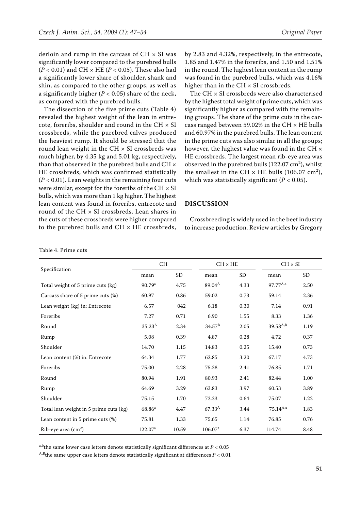derloin and rump in the carcass of  $CH \times SI$  was significantly lower compared to the purebred bulls  $(P < 0.01)$  and CH  $\times$  HE ( $P < 0.05$ ). These also had a significantly lower share of shoulder, shank and shin, as compared to the other groups, as well as a significantly higher  $(P < 0.05)$  share of the neck, as compared with the purebred bulls.

The dissection of the five prime cuts (Table 4) revealed the highest weight of the lean in entrecote, foreribs, shoulder and round in the CH  $\times$  SI crossbreds, while the purebred calves produced the heaviest rump. It should be stressed that the round lean weight in the CH  $\times$  SI crossbreds was much higher, by 4.35 kg and 5.01 kg, respectively, than that observed in the purebred bulls and CH × HE crossbreds, which was confirmed statistically (*P* < 0.01). Lean weights in the remaining four cuts were similar, except for the foreribs of the CH  $\times$  SI bulls, which was more than 1 kg higher. The highest lean content was found in foreribs, entrecote and round of the CH × SI crossbreds. Lean shares in the cuts of these crossbreds were higher compared to the purebred bulls and  $CH \times HE$  crossbreds, by 2.83 and 4.32%, respectively, in the entrecote, 1.85 and 1.47% in the foreribs, and 1.50 and 1.51% in the round. The highest lean content in the rump was found in the purebred bulls, which was 4.16% higher than in the  $CH \times SI$  crossbreds.

The CH × SI crossbreds were also characterised by the highest total weight of prime cuts, which was significantly higher as compared with the remaining groups. The share of the prime cuts in the carcass ranged between 59.02% in the CH  $\times$  HE bulls and 60.97% in the purebred bulls. The lean content in the prime cuts was also similar in all the groups; however, the highest value was found in the CH × HE crossbreds. The largest mean rib-eye area was observed in the purebred bulls  $(122.07 \text{ cm}^2)$ , whilst the smallest in the CH  $\times$  HE bulls (106.07 cm<sup>2</sup>), which was statistically significant  $(P < 0.05)$ .

#### **DISCUSSION**

Crossbreeding is widely used in the beef industry to increase production. Review articles by Gregory

| Specification                          | CH.                 |           |                     | $CH \times HE$ |               | $CH \times SI$ |  |
|----------------------------------------|---------------------|-----------|---------------------|----------------|---------------|----------------|--|
|                                        | mean                | <b>SD</b> | mean                | <b>SD</b>      | mean          | <b>SD</b>      |  |
| Total weight of 5 prime cuts (kg)      | 90.79 <sup>a</sup>  | 4.75      | $89.04^{A}$         | 4.33           | $97.77^{A,a}$ | 2.50           |  |
| Carcass share of 5 prime cuts (%)      | 60.97               | 0.86      | 59.02               | 0.73           | 59.14         | 2.36           |  |
| Lean weight (kg) in: Entrecote         | 6.57                | 042       | 6.18                | 0.30           | 7.14          | 0.91           |  |
| Foreribs                               | 7.27                | 0.71      | 6.90                | 1.55           | 8.33          | 1.36           |  |
| Round                                  | $35.23^{A}$         | 2.34      | $34.57^{\rm B}$     | 2.05           | $39.58^{A,B}$ | 1.19           |  |
| Rump                                   | 5.08                | 0.39      | 4.87                | 0.28           | 4.72          | 0.37           |  |
| Shoulder                               | 14.70               | 1.15      | 14.83               | 0.25           | 15.40         | 0.73           |  |
| Lean content (%) in: Entrecote         | 64.34               | 1.77      | 62.85               | 3.20           | 67.17         | 4.73           |  |
| Foreribs                               | 75.00               | 2.28      | 75.38               | 2.41           | 76.85         | 1.71           |  |
| Round                                  | 80.94               | 1.91      | 80.93               | 2.41           | 82.44         | 1.00           |  |
| Rump                                   | 64.69               | 3.29      | 63.83               | 3.97           | 60.53         | 3.89           |  |
| Shoulder                               | 75.15               | 1.70      | 72.23               | 0.64           | 75.07         | 1.22           |  |
| Total lean weight in 5 prime cuts (kg) | 68.86 <sup>a</sup>  | 4.47      | $67.33^{\rm A}$     | 3.44           | $75.14^{A,a}$ | 1.83           |  |
| Lean content in 5 prime cuts (%)       | 75.81               | 1.33      | 75.65               | 1.14           | 76.85         | 0.76           |  |
| $Rib$ -eye area $(cm2)$                | 122.07 <sup>a</sup> | 10.59     | 106.07 <sup>a</sup> | 6.37           | 114.74        | 8.48           |  |

a,b<sub>the same lower case letters denote statistically significant differences at  $P < 0.05$ </sub>

<sup>A,B</sup>the same upper case letters denote statistically significant at differences  $P < 0.01$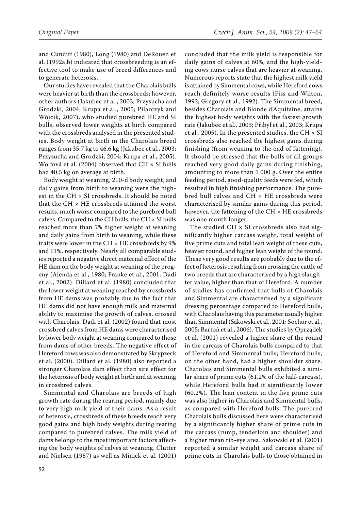and Cundiff (1980), Long (1980) and DeRouen et al. (1992a,b) indicated that crossbreeding is an effective tool to make use of breed differences and to generate heterosis.

Our studies have revealed that the Charolais bulls were heavier at birth than the crossbreds; however, other authors (Jakubec et al., 2003; Przysucha and Grodzki, 2004; Krupa et al., 2005; Pilarczyk and Wójcik, 2007), who studied purebred HE and SI bulls, observed lower weights at birth compared with the crossbreds analysed in the presented studies. Body weight at birth in the Charolais breed ranges from 35.7 kg to 46.6 kg (Jakubec et al., 2003; Przysucha and Grodzki, 2004; Krupa et al., 2005). Wolfová et al. (2004) observed that  $CH \times SI$  bulls had 40.5 kg on average at birth.

Body weight at weaning, 210-d body weight, and daily gains from birth to weaning were the highest in the CH × SI crossbreds. It should be noted that the CH  $\times$  HE crossbreds attained the worst results, much worse compared to the purebred bull calves. Compared to the CH bulls, the CH × SI bulls reached more than 5% higher weight at weaning and daily gains from birth to weaning, while these traits were lower in the CH  $\times$  HE crossbreds by 9% and 11%, respectively. Nearly all comparable studies reported a negative direct maternal effect of the HE dam on the body weight at weaning of the progeny (Alenda et al., 1980; Franke et al., 2001, Dadi et al., 2002). Dillard et al. (1980) concluded that the lower weight at weaning reached by crossbreds from HE dams was probably due to the fact that HE dams did not have enough milk and maternal ability to maximise the growth of calves, crossed with Charolais. Dadi et al. (2002) found that most crossbred calves from HE dams were characterised by lower body weight at weaning compared to those from dams of other breeds. The negative effect of Hereford cows was also demonstrated by Skrypzeck et al. (2000). Dillard et al. (1980) also reported a stronger Charolais dam effect than sire effect for the heterosis of body weight at birth and at weaning in crossbred calves.

Simmental and Charolais are breeds of high growth rate during the rearing period, mainly due to very high milk yield of their dams. As a result of heterosis, crossbreds of these breeds reach very good gains and high body weights during rearing compared to purebred calves. The milk yield of dams belongs to the most important factors affecting the body weights of calves at weaning. Clutter and Nielsen (1987) as well as Minick et al. (2001)

concluded that the milk yield is responsible for daily gains of calves at 60%, and the high-yielding cows nurse calves that are heavier at weaning. Numerous reports state that the highest milk yield is attained by Simmental cows, while Hereford cows reach definitely worse results (Fiss and Wilton, 1992; Gregory et al., 1992). The Simmental breed, besides Charolais and Blonde d'Aquitaine, attains the highest body weights with the fastest growth rate (Jakubec et al., 2003; Přibyl et al., 2003; Krupa et al., 2005). In the presented studies, the CH  $\times$  SI crossbreds also reached the highest gains during finishing (from weaning to the end of fattening). It should be stressed that the bulls of all groups reached very good daily gains during finishing, amounting to more than 1 000 g. Over the entire feeding period, good-quality feeds were fed, which resulted in high finishing performance. The purebred bull calves and CH × HE crossbreds were characterised by similar gains during this period, however, the fattening of the  $CH \times HE$  crossbreds was one month longer.

The studied CH  $\times$  SI crossbreds also had significantly higher carcass weight, total weight of five prime cuts and total lean weight of these cuts, heavier round, and higher lean weight of the round. These very good results are probably due to the effect of heterosis resulting from crossing the cattle of two breeds that are characterised by a high slaughter value, higher than that of Hereford. A number of studies has confirmed that bulls of Charolais and Simmental are characterised by a significant dressing percentage compared to Hereford bulls, with Charolais having this parameter usually higher than Simmental (Sakowski et al., 2001; Sochor et al., 2005; Bartoň et al., 2006). The studies by Oprządek et al. (2001) revealed a higher share of the round in the carcass of Charolais bulls compared to that of Hereford and Simmental bulls; Hereford bulls, on the other hand, had a higher shoulder share. Charolais and Simmental bulls exhibited a similar share of prime cuts (61.2% of the half-carcass), while Hereford bulls had it significantly lower (60.2%). The lean content in the five prime cuts was also higher in Charolais and Simmental bulls, as compared with Hereford bulls. The purebred Charolais bulls discussed here were characterised by a significantly higher share of prime cuts in the carcass (rump, tenderloin and shoulder) and a higher mean rib-eye area. Sakowski et al. (2001) reported a similar weight and carcass share of prime cuts in Charolais bulls to those obtained in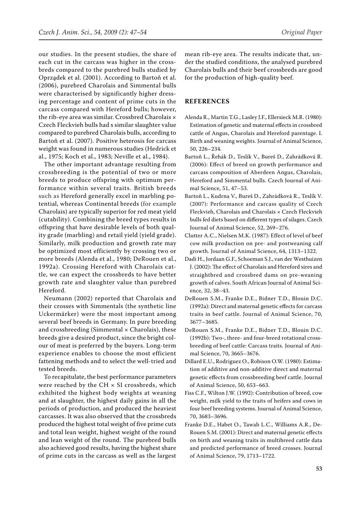our studies. In the present studies, the share of each cut in the carcass was higher in the crossbreds compared to the purebred bulls studied by Oprządek et al. (2001). According to Bartoň et al. (2006), purebred Charolais and Simmental bulls were characterised by significantly higher dressing percentage and content of prime cuts in the carcass compared with Hereford bulls; however, the rib-eye area was similar. Crossbred Charolais × Czech Fleckvieh bulls had s similar slaughter value compared to purebred Charolais bulls, according to Bartoň et al. (2007). Positive heterosis for carcass weight was found in numerous studies (Hedrick et al., 1975; Koch et al., 1983; Neville et al., 1984).

The other important advantage resulting from crossbreeding is the potential of two or more breeds to produce offspring with optimum performance within several traits. British breeds such as Hereford generally excel in marbling potential, whereas Continental breeds (for example Charolais) are typically superior for red meat yield (cutability). Combining the breed types results in offspring that have desirable levels of both quality grade (marbling) and retail yield (yield grade). Similarly, milk production and growth rate may be optimized most efficiently by crossing two or more breeds (Alenda et al., 1980; DeRouen et al., 1992a). Crossing Hereford with Charolais cattle, we can expect the crossbreds to have better growth rate and slaughter value than purebred Hereford.

Neumann (2002) reported that Charolais and their crosses with Simmentals (the synthetic line Uckermärker) were the most important among several beef breeds in Germany. In pure breeding and crossbreeding (Simmental  $\times$  Charolais), these breeds give a desired product, since the bright colour of meat is preferred by the buyers. Long-term experience enables to choose the most efficient fattening methods and to select the well-tried and tested breeds.

To recapitulate, the best performance parameters were reached by the CH  $\times$  SI crossbreds, which exhibited the highest body weights at weaning and at slaughter, the highest daily gains in all the periods of production, and produced the heaviest carcasses. It was also observed that the crossbreds produced the highest total weight of five prime cuts and total lean weight, highest weight of the round and lean weight of the round. The purebred bulls also achieved good results, having the highest share of prime cuts in the carcass as well as the largest mean rib-eye area. The results indicate that, under the studied conditions, the analysed purebred Charolais bulls and their beef crossbreds are good for the production of high-quality beef.

## **REFERENCES**

- Alenda R., Martin T.G., Lasley J.F., Ellersieck M.R. (1980): Estimation of genetic and maternal effects in crossbred cattle of Angus, Charolais and Hereford parentage. I. Birth and weaning weights. Journal of Animal Science, 50, 226–234.
- Bartoň L., Řehák D., Teslík V., Bureš D., Zahrádková R. (2006): Effect of breed on growth performance and carcass composition of Aberdeen Angus, Charolais, Hereford and Simmental bulls. Czech Journal of Animal Science, 51, 47–53.
- Bartoň L., Kudrna V., Bureš D., Zahrádková R., Teslík V. (2007): Performance and carcass quality of Czech Fleckvieh, Charolais and Charolais × Czech Fleckvieh bulls fed diets based on different types of silages. Czech Journal of Animal Science, 52, 269–276.
- Clutter A.C., Nielsen M.K. (1987): Effect of level of beef cow milk production on pre- and postweaning calf growth. Journal of Animal Science, 64, 1313–1322.
- Dadi H., Jordaan G.F., Schoeman S.J., van der Westhuizen J. (2002): The effect of Charolais and Hereford sires and straightbred and crossbred dams on pre-weaning growth of calves. South African Journal of Animal Science, 32, 38–43.
- DeRouen S.M., Franke D.E., Bidner T.D., Blouin D.C. (1992a): Direct and maternal genetic effects for carcass traits in beef cattle. Journal of Animal Science, 70, 3677–3685.
- DeRouen S.M., Franke D.E., Bidner T.D., Blouin D.C. (1992b): Two-, three- and four-breed rotational crossbreeding of beef cattle: Carcass traits. Journal of Animal Science, 70, 3665–3676.
- Dillard E.U., Rodriguez O., Robison O.W. (1980): Estimation of additive and non-additive direct and maternal genetic effects from crossbreeding beef cattle. Journal of Animal Science, 50, 653–663.
- Fiss C.F., Wilton J.W. (1992): Contribution of breed, cow weight, milk yield to the traits of heifers and cows in four beef breeding systems. Journal of Animal Science, 70, 3683–3696.
- Franke D.E., Habet O., Tawah L.C., Williams A.R., De-Rouen S.M. (2001): Direct and maternal genetic effects on birth and weaning traits in multibreed cattle data and predicted performance of breed crosses. Journal of Animal Science, 79, 1713–1722.